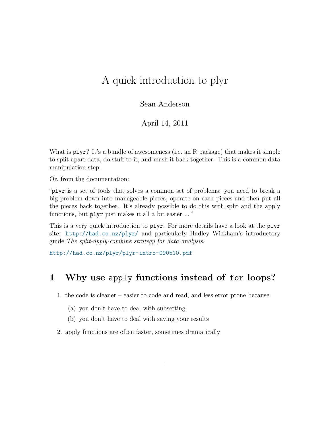# A quick introduction to plyr

Sean Anderson

April 14, 2011

What is  $plyr$ ? It's a bundle of awesomeness (i.e. an R package) that makes it simple to split apart data, do stuff to it, and mash it back together. This is a common data manipulation step.

Or, from the documentation:

"plyr is a set of tools that solves a common set of problems: you need to break a big problem down into manageable pieces, operate on each pieces and then put all the pieces back together. It's already possible to do this with split and the apply functions, but plyr just makes it all a bit easier. . . "

This is a very quick introduction to plyr. For more details have a look at the plyr site: <http://had.co.nz/plyr/> and particularly Hadley Wickham's introductory guide The split-apply-combine strategy for data analysis.

<http://had.co.nz/plyr/plyr-intro-090510.pdf>

#### 1 Why use apply functions instead of for loops?

1. the code is cleaner – easier to code and read, and less error prone because:

- (a) you don't have to deal with subsetting
- (b) you don't have to deal with saving your results
- 2. apply functions are often faster, sometimes dramatically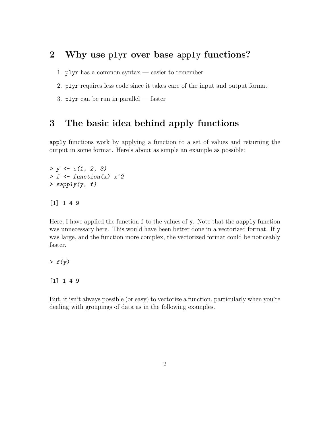## 2 Why use plyr over base apply functions?

1.  $\nu$ 

2. plyr requires less code since it takes care of the input and output format

3.  $\mathbf{p}$ lyr can be run in parallel — faster

### 3 The basic idea behind apply functions

apply functions work by applying a function to a set of values and returning the output in some format. Here's about as simple an example as possible:

```
> y \leftarrow c(1, 2, 3)> f \leftarrow function(x) x^2> sapply(y, f)
```
[1] 1 4 9

Here, I have applied the function f to the values of y. Note that the sapply function was unnecessary here. This would have been better done in a vectorized format. If y was large, and the function more complex, the vectorized format could be noticeably faster.

 $> f(y)$ 

[1] 1 4 9

But, it isn't always possible (or easy) to vectorize a function, particularly when you're dealing with groupings of data as in the following examples.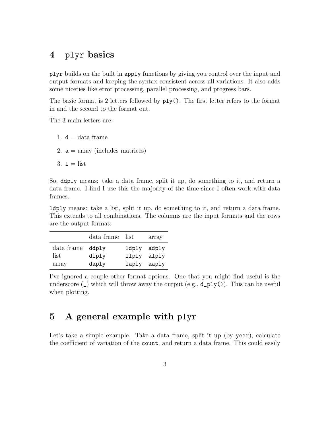#### 4 plyr basics

plyr builds on the built in apply functions by giving you control over the input and output formats and keeping the syntax consistent across all variations. It also adds some niceties like error processing, parallel processing, and progress bars.

The basic format is 2 letters followed by ply(). The first letter refers to the format in and the second to the format out.

The 3 main letters are:

- 1.  $d = data frame$
- 2.  $a = \text{array}$  (includes matrices)
- $3. 1 =$  list

So, ddply means: take a data frame, split it up, do something to it, and return a data frame. I find I use this the majority of the time since I often work with data frames.

ldply means: take a list, split it up, do something to it, and return a data frame. This extends to all combinations. The columns are the input formats and the rows are the output format:

|            | data frame list |             | array |
|------------|-----------------|-------------|-------|
| data frame | ddply           | ldply adply |       |
| list       | dlply           | llply       | alply |
| array      | daply           | laply aaply |       |

I've ignored a couple other format options. One that you might find useful is the underscore  $(\_)$  which will throw away the output  $(e.g., d_ply())$ . This can be useful when plotting.

#### 5 A general example with plyr

Let's take a simple example. Take a data frame, split it up (by year), calculate the coefficient of variation of the count, and return a data frame. This could easily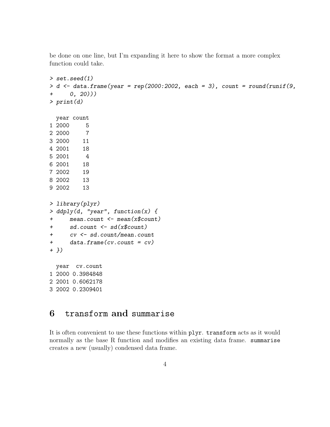be done on one line, but I'm expanding it here to show the format a more complex function could take.

```
> set.seed(1)
> d \leq data.frame(year = rep(2000:2002, each = 3), count = round(runif(9,
+ 0, 20)))
> print(d)
 year count
1 2000 5
2 2000 7
3 2000 11
4 2001 18
5 2001 4
6 2001 18
7 2002 19
8 2002 13
9 2002 13
> library(plyr)
> ddply(d, "year", function(x) {
+ mean.count <- mean(x$count)
+ sd.count <- sd(x$count)
+ cv <- sd.count/mean.count
+ data.frame(cv.count = cv)
+ })
 year cv.count
1 2000 0.3984848
2 2001 0.6062178
3 2002 0.2309401
```
### 6 transform and summarise

It is often convenient to use these functions within plyr. transform acts as it would normally as the base R function and modifies an existing data frame. summarise creates a new (usually) condensed data frame.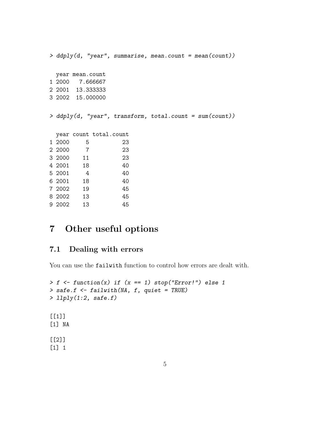> ddply(d, "year", summarise, mean.count = mean(count)) year mean.count 1 2000 7.666667 2 2001 13.333333 3 2002 15.000000 > ddply(d, "year", transform, total.count = sum(count)) year count total.count 1 2000 5 23 2 2000 7 23 3 2000 11 23 4 2001 18 40 5 2001 4 40 6 2001 18 40 7 2002 19 45 8 2002 13 45 9 2002 13 45

### 7 Other useful options

#### 7.1 Dealing with errors

You can use the failwith function to control how errors are dealt with.

```
> f \leq function(x) if (x == 1) stop("Error!") else 1
> safe.f <- failwith(NA, f, quiet = TRUE)
> llply(1:2, safe.f)
[1]]
[1] NA
[[2]]
[1] 1
```